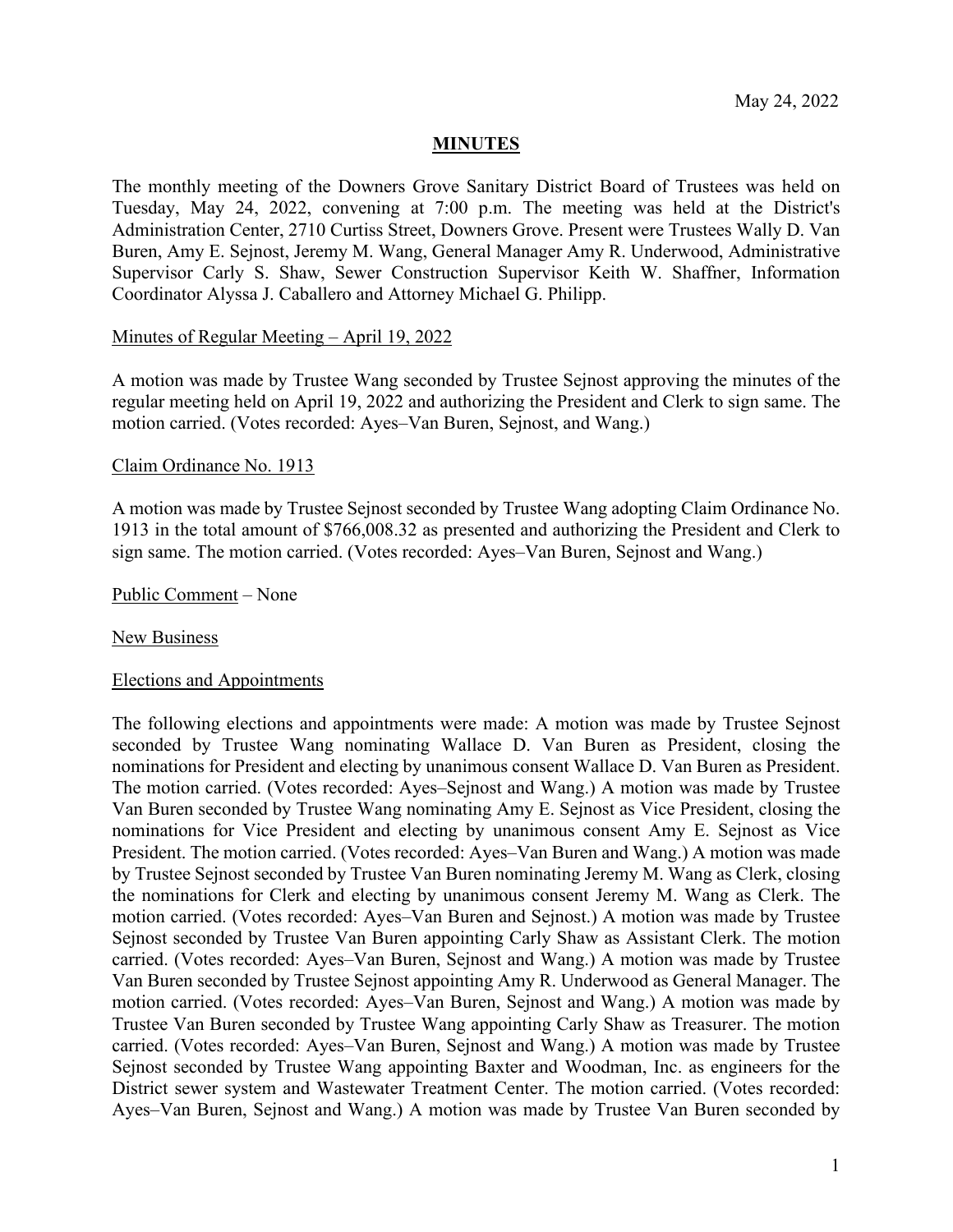## **MINUTES**

The monthly meeting of the Downers Grove Sanitary District Board of Trustees was held on Tuesday, May 24, 2022, convening at 7:00 p.m. The meeting was held at the District's Administration Center, 2710 Curtiss Street, Downers Grove. Present were Trustees Wally D. Van Buren, Amy E. Sejnost, Jeremy M. Wang, General Manager Amy R. Underwood, Administrative Supervisor Carly S. Shaw, Sewer Construction Supervisor Keith W. Shaffner, Information Coordinator Alyssa J. Caballero and Attorney Michael G. Philipp.

### Minutes of Regular Meeting – April 19, 2022

A motion was made by Trustee Wang seconded by Trustee Sejnost approving the minutes of the regular meeting held on April 19, 2022 and authorizing the President and Clerk to sign same. The motion carried. (Votes recorded: Ayes–Van Buren, Sejnost, and Wang.)

#### Claim Ordinance No. 1913

A motion was made by Trustee Sejnost seconded by Trustee Wang adopting Claim Ordinance No. 1913 in the total amount of \$766,008.32 as presented and authorizing the President and Clerk to sign same. The motion carried. (Votes recorded: Ayes–Van Buren, Sejnost and Wang.)

Public Comment – None

#### New Business

#### Elections and Appointments

The following elections and appointments were made: A motion was made by Trustee Sejnost seconded by Trustee Wang nominating Wallace D. Van Buren as President, closing the nominations for President and electing by unanimous consent Wallace D. Van Buren as President. The motion carried. (Votes recorded: Ayes–Sejnost and Wang.) A motion was made by Trustee Van Buren seconded by Trustee Wang nominating Amy E. Sejnost as Vice President, closing the nominations for Vice President and electing by unanimous consent Amy E. Sejnost as Vice President. The motion carried. (Votes recorded: Ayes–Van Buren and Wang.) A motion was made by Trustee Sejnost seconded by Trustee Van Buren nominating Jeremy M. Wang as Clerk, closing the nominations for Clerk and electing by unanimous consent Jeremy M. Wang as Clerk. The motion carried. (Votes recorded: Ayes–Van Buren and Sejnost.) A motion was made by Trustee Sejnost seconded by Trustee Van Buren appointing Carly Shaw as Assistant Clerk. The motion carried. (Votes recorded: Ayes–Van Buren, Sejnost and Wang.) A motion was made by Trustee Van Buren seconded by Trustee Sejnost appointing Amy R. Underwood as General Manager. The motion carried. (Votes recorded: Ayes–Van Buren, Sejnost and Wang.) A motion was made by Trustee Van Buren seconded by Trustee Wang appointing Carly Shaw as Treasurer. The motion carried. (Votes recorded: Ayes–Van Buren, Sejnost and Wang.) A motion was made by Trustee Sejnost seconded by Trustee Wang appointing Baxter and Woodman, Inc. as engineers for the District sewer system and Wastewater Treatment Center. The motion carried. (Votes recorded: Ayes–Van Buren, Sejnost and Wang.) A motion was made by Trustee Van Buren seconded by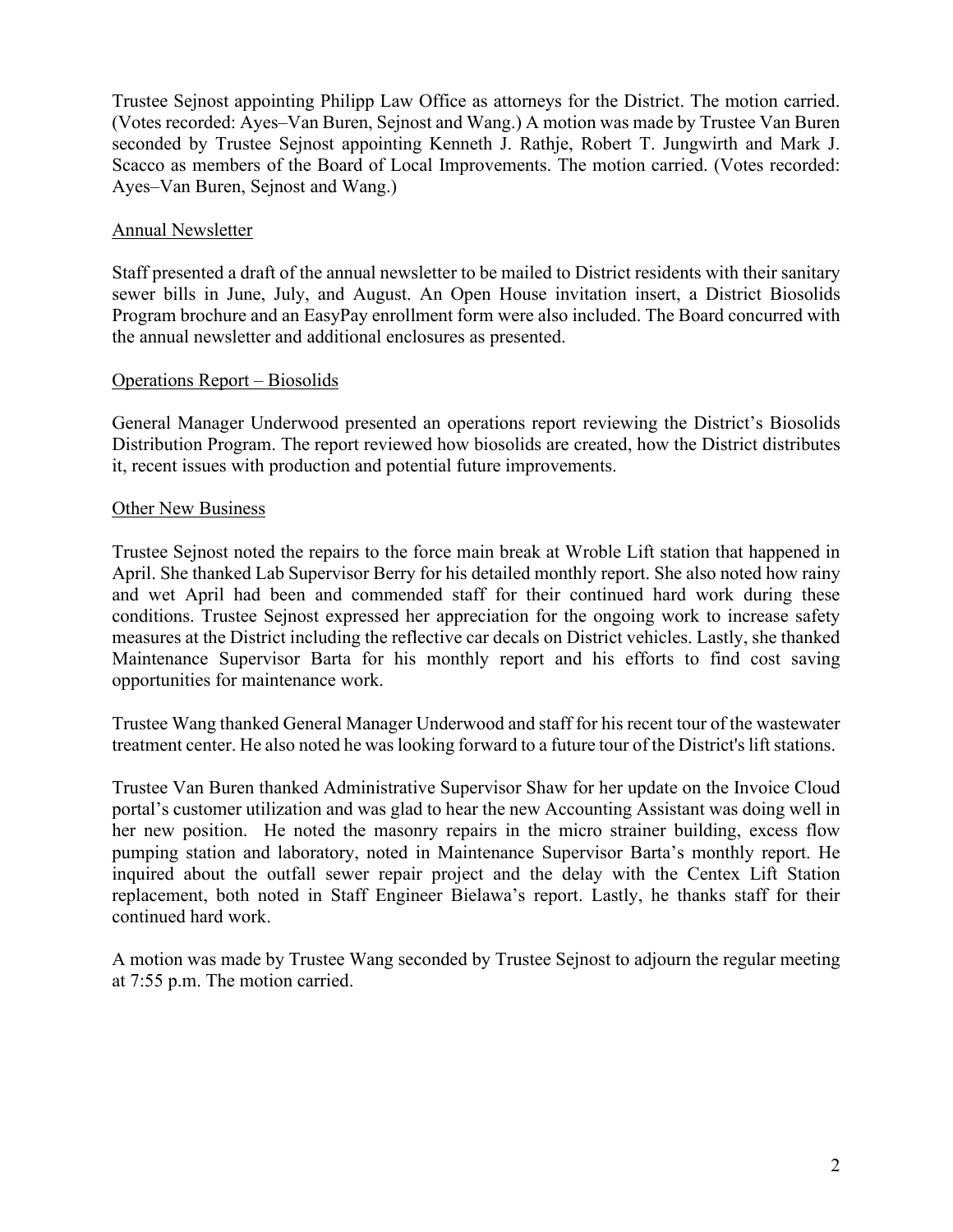Trustee Sejnost appointing Philipp Law Office as attorneys for the District. The motion carried. (Votes recorded: Ayes–Van Buren, Sejnost and Wang.) A motion was made by Trustee Van Buren seconded by Trustee Sejnost appointing Kenneth J. Rathje, Robert T. Jungwirth and Mark J. Scacco as members of the Board of Local Improvements. The motion carried. (Votes recorded: Ayes–Van Buren, Sejnost and Wang.)

# Annual Newsletter

Staff presented a draft of the annual newsletter to be mailed to District residents with their sanitary sewer bills in June, July, and August. An Open House invitation insert, a District Biosolids Program brochure and an EasyPay enrollment form were also included. The Board concurred with the annual newsletter and additional enclosures as presented.

# Operations Report – Biosolids

General Manager Underwood presented an operations report reviewing the District's Biosolids Distribution Program. The report reviewed how biosolids are created, how the District distributes it, recent issues with production and potential future improvements.

## Other New Business

Trustee Sejnost noted the repairs to the force main break at Wroble Lift station that happened in April. She thanked Lab Supervisor Berry for his detailed monthly report. She also noted how rainy and wet April had been and commended staff for their continued hard work during these conditions. Trustee Sejnost expressed her appreciation for the ongoing work to increase safety measures at the District including the reflective car decals on District vehicles. Lastly, she thanked Maintenance Supervisor Barta for his monthly report and his efforts to find cost saving opportunities for maintenance work.

Trustee Wang thanked General Manager Underwood and staff for his recent tour of the wastewater treatment center. He also noted he was looking forward to a future tour of the District's lift stations.

Trustee Van Buren thanked Administrative Supervisor Shaw for her update on the Invoice Cloud portal's customer utilization and was glad to hear the new Accounting Assistant was doing well in her new position. He noted the masonry repairs in the micro strainer building, excess flow pumping station and laboratory, noted in Maintenance Supervisor Barta's monthly report. He inquired about the outfall sewer repair project and the delay with the Centex Lift Station replacement, both noted in Staff Engineer Bielawa's report. Lastly, he thanks staff for their continued hard work.

A motion was made by Trustee Wang seconded by Trustee Sejnost to adjourn the regular meeting at 7:55 p.m. The motion carried.